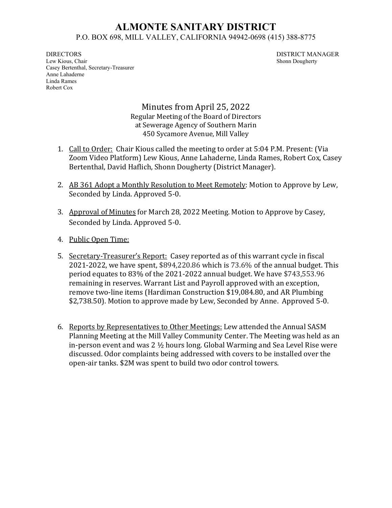## **ALMONTE SANITARY DISTRICT** P.O. BOX 698, MILL VALLEY, CALIFORNIA 94942-0698 (415) 388-8775

DIRECTORS DISTRICT MANAGER Lew Kious, Chair Shonn Dougherty Casey Bertenthal, Secretary-Treasurer Anne Lahaderne Linda Rames Robert Cox

Minutes from April 25, 2022 Regular Meeting of the Board of Directors at Sewerage Agency of Southern Marin 450 Sycamore Avenue, Mill Valley

- 1. Call to Order: Chair Kious called the meeting to order at 5:04 P.M. Present: (Via Zoom Video Platform) Lew Kious, Anne Lahaderne, Linda Rames, Robert Cox, Casey Bertenthal, David Haflich, Shonn Dougherty (District Manager).
- 2. AB 361 Adopt a Monthly Resolution to Meet Remotely: Motion to Approve by Lew, Seconded by Linda. Approved 5-0.
- 3. Approval of Minutes for March 28, 2022 Meeting. Motion to Approve by Casey, Seconded by Linda. Approved 5-0.
- 4. Public Open Time:
- 5. Secretary-Treasurer's Report: Casey reported as of this warrant cycle in fiscal 2021-2022, we have spent, \$894,220.86 which is 73.6% of the annual budget. This period equates to 83% of the 2021-2022 annual budget. We have \$743,553.96 remaining in reserves. Warrant List and Payroll approved with an exception, remove two-line items (Hardiman Construction \$19,084.80, and AR Plumbing \$2,738.50). Motion to approve made by Lew, Seconded by Anne. Approved 5-0.
- 6. Reports by Representatives to Other Meetings: Lew attended the Annual SASM Planning Meeting at the Mill Valley Community Center. The Meeting was held as an in-person event and was 2 ½ hours long. Global Warming and Sea Level Rise were discussed. Odor complaints being addressed with covers to be installed over the open-air tanks. \$2M was spent to build two odor control towers.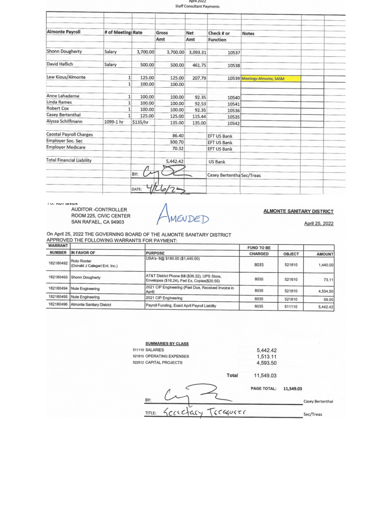| <b>Almonte Payroll</b>           | # of Meeting: Rate |          | Gross    | Net      | Check # or                | <b>Notes</b>                 |  |
|----------------------------------|--------------------|----------|----------|----------|---------------------------|------------------------------|--|
|                                  |                    |          | Amt      | Amt      | <b>Function</b>           |                              |  |
| Shonn Dougherty                  | Salary             | 3,700.00 | 3,700.00 | 3,093.31 | 10537                     |                              |  |
| David Haflich                    | Salary             | 500,00   | 500.00   | 461.75   | 10538                     |                              |  |
| Lew Kious/Almonte                | 1                  | 125.00   | 125.00   | 207.79   |                           | 10539 Meetings-Almonte, SASM |  |
|                                  | 1                  | 100.00   | 100.00   |          |                           |                              |  |
| Anne Lahaderne                   | 1 <sup>1</sup>     | 100.00   | 100.00   | 92.35    | 10540                     |                              |  |
| Linda Rames                      | $\mathbf{1}$       | 100.00   | 100.00   | 92.53    | 10541                     |                              |  |
| Robert Cox                       | $\mathbf{1}$       | 100.00   | 100.00   | 92.35    | 10536                     |                              |  |
| Casey Bertenthal                 | 1                  | 125.00   | 125.00   | 115.44   | 10535                     |                              |  |
| Alyssa Schiffmann                | 1099-1 hr          | \$135/hr | 135.00   | 135.00   | 10542                     |                              |  |
| Caostal Payroll Charges          |                    |          | 86.40    |          | EFT US Bank               |                              |  |
| Employer Soc. Sec                |                    |          | 300.70   |          | EFT US Bank               |                              |  |
| <b>Employer Medicare</b>         |                    |          | 70.32    |          | EFT US Bank               |                              |  |
| <b>Total Financial Liability</b> |                    |          | 5,442.42 |          | US Bank                   |                              |  |
|                                  |                    | BY:      |          |          | Casey Bertentha Sec/Treas |                              |  |

**IV. NUI GIVEIT** 

AUDITOR-CONTROLLER ROOM 225, CIVIC CENTER<br>SAN RAFAEL, CA 94903

AMENDED

**ALMONTE SANITARY DISTRICT** 

April 25, 2022

On April 25, 2022 THE GOVERNING BOARD OF THE ALMONTE SANITARY DISTRICT APPROVED THE FOLLOWING WARRANTS FOR PAYMENT:

| <b>WARRANT</b> |                                              |                                                                                                | <b>FUND TO BE</b> |               |               |
|----------------|----------------------------------------------|------------------------------------------------------------------------------------------------|-------------------|---------------|---------------|
| <b>NUMBER</b>  | IN FAVOR OF                                  | <b>PURPOSE</b>                                                                                 | <b>CHARGED</b>    | <b>OBJECT</b> | <b>AMOUNT</b> |
| 182180492      | Roto Rooter<br>(Donald J Calegari Ent. Inc.) | USA's-8@ \$180.00 (\$1,440.00)                                                                 | 8035              | 521810        | .440.00       |
| 182180493      | Shonn Dougherty                              | AT&T District Phone Bill (\$36.32), UPS Store,<br>Envelopes (\$16.24), Fed Ex, Copies(\$20.55) | 8035              | 521810        | 73.11         |
|                | 182180494 Nute Engineering                   | 2021 CIP Engineering (Past Due, Received Invoice in<br>April)                                  | 8035              | 521810        | 4,534.50      |
| 182180495      | Nute Engineering                             | 2021 CIP Engineering                                                                           | 8035              | 521810        | 59.00         |
| 182180496      | Almonte Sanitary District                    | Payroll Funding, Exact April Payroll Liability                                                 | 8035              | 511110        | 5,442.42      |

| <b>SUMMARIES BY CLASS</b> |         |                    |                  |
|---------------------------|---------|--------------------|------------------|
| 511110 SALARIES           |         | 5,442.42           |                  |
| 521810 OPERATING EXPENSES |         | 1,513.11           |                  |
| 522512 CAPITAL PROJECTS   |         | 4,593.50           |                  |
|                           | Total   | 11,549.03          |                  |
|                           |         | <b>PAGE TOTAL:</b> | 11,549.03        |
| BY:                       |         |                    | Casey Bertenthal |
| carciary<br>TITLE:        | 6040000 |                    | Sec/Treas        |